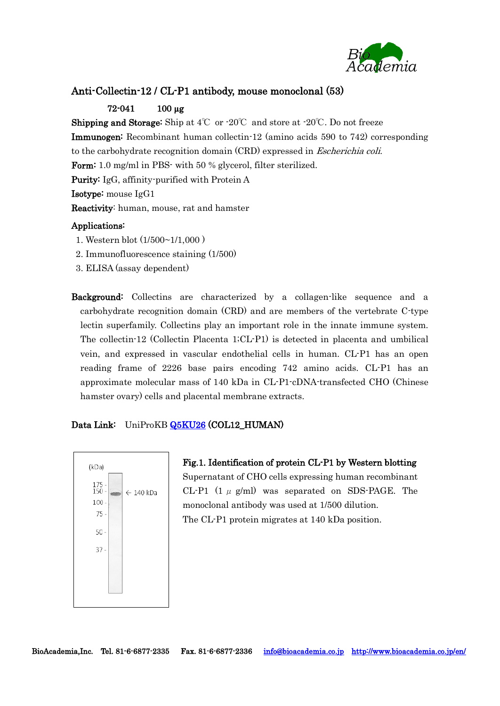

# Anti-Collectin-12 / CL-P1 antibody, mouse monoclonal (53)

## 72-041 100 µg

**Shipping and Storage:** Ship at  $4^{\circ}$  or  $\cdot 20^{\circ}$  and store at  $\cdot 20^{\circ}$ . Do not freeze Immunogen: Recombinant human collectin-12 (amino acids 590 to 742) corresponding to the carbohydrate recognition domain (CRD) expressed in Escherichia coli. Form: 1.0 mg/ml in PBS- with 50 % glycerol, filter sterilized. Purity: IgG, affinity-purified with Protein A Isotype: mouse IgG1 Reactivity: human, mouse, rat and hamster

### Applications:

- 1. Western blot (1/500~1/1,000 )
- 2. Immunofluorescence staining (1/500)
- 3. ELISA (assay dependent)
- Background: Collectins are characterized by a collagen-like sequence and a carbohydrate recognition domain (CRD) and are members of the vertebrate C-type lectin superfamily. Collectins play an important role in the innate immune system. The collectin-12 (Collectin Placenta 1;CL-P1) is detected in placenta and umbilical vein, and expressed in vascular endothelial cells in human. CL-P1 has an open reading frame of 2226 base pairs encoding 742 amino acids. CL-P1 has an approximate molecular mass of 140 kDa in CL-P1-cDNA-transfected CHO (Chinese hamster ovary) cells and placental membrane extracts.

## Data Link: UniProKB [Q5KU26](https://www.uniprot.org/uniprot/Q5KU26) (COL12\_HUMAN)



### Fig.1. Identification of protein CL-P1 by Western blotting

Supernatant of CHO cells expressing human recombinant CL-P1  $(1 \mu g/ml)$  was separated on SDS-PAGE. The monoclonal antibody was used at 1/500 dilution. The CL-P1 protein migrates at 140 kDa position.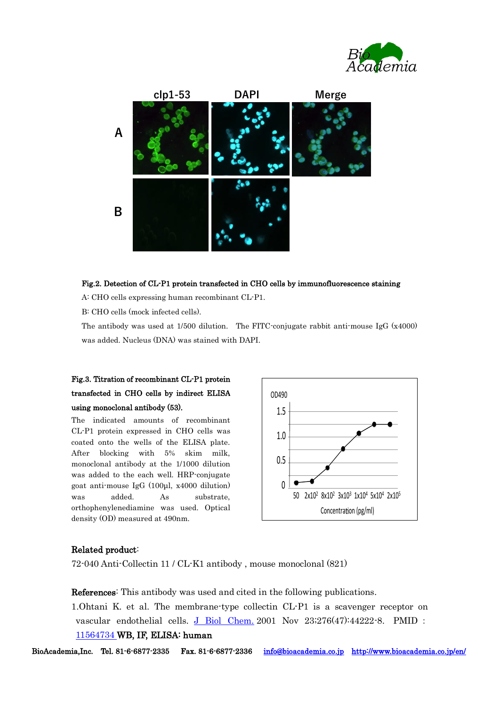



#### Fig.2. Detection of CL-P1 protein transfected in CHO cells by immunofluorescence staining

A: CHO cells expressing human recombinant CL-P1.

B: CHO cells (mock infected cells).

The antibody was used at 1/500 dilution. The FITC-conjugate rabbit anti-mouse IgG (x4000) was added. Nucleus (DNA) was stained with DAPI.

# Fig.3. Titration of recombinant CL-P1 protein transfected in CHO cells by indirect ELISA using monoclonal antibody (53).

The indicated amounts of recombinant CL-P1 protein expressed in CHO cells was coated onto the wells of the ELISA plate. After blocking with 5% skim milk, monoclonal antibody at the 1/1000 dilution was added to the each well. HRP-conjugate goat anti-mouse IgG (100μl, x4000 dilution) was added. As substrate, orthophenylenediamine was used. Optical density (OD) measured at 490nm.



#### Related product:

72-040 Anti-Collectin 11 / CL-K1 antibody , mouse monoclonal (821)

References: This antibody was used and cited in the following publications.

1.Ohtani K. et al. The membrane-type collectin CL-P1 is a scavenger receptor on vascular endothelial cells. [J Biol Chem.](https://www.ncbi.nlm.nih.gov/pubmed/?term=11564734) 2001 Nov 23;276(47):44222-8. PMID :

### [11564734](https://www.ncbi.nlm.nih.gov/pubmed/?term=11564734) WB, IF, ELISA: human

BioAcademia,Inc. Tel. 81-6-6877-2335 Fax. 81-6-6877-2336 [info@bioacademia.co.jp](mailto:info@bioacademia.co.jp) <http://www.bioacademia.co.jp/en/>